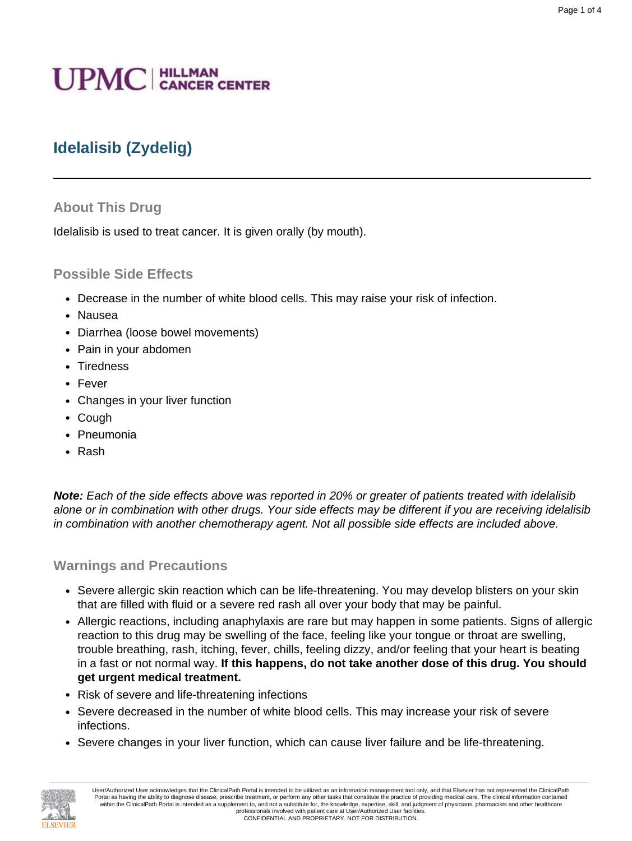# **UPMC** | HILLMAN

# **Idelalisib (Zydelig)**

#### **About This Drug**

Idelalisib is used to treat cancer. It is given orally (by mouth).

#### **Possible Side Effects**

- Decrease in the number of white blood cells. This may raise your risk of infection.
- Nausea
- Diarrhea (loose bowel movements)
- Pain in your abdomen
- Tiredness
- Fever
- Changes in your liver function
- Cough
- Pneumonia
- Rash

**Note:** Each of the side effects above was reported in 20% or greater of patients treated with idelalisib alone or in combination with other drugs. Your side effects may be different if you are receiving idelalisib in combination with another chemotherapy agent. Not all possible side effects are included above.

#### **Warnings and Precautions**

- Severe allergic skin reaction which can be life-threatening. You may develop blisters on your skin that are filled with fluid or a severe red rash all over your body that may be painful.
- Allergic reactions, including anaphylaxis are rare but may happen in some patients. Signs of allergic reaction to this drug may be swelling of the face, feeling like your tongue or throat are swelling, trouble breathing, rash, itching, fever, chills, feeling dizzy, and/or feeling that your heart is beating in a fast or not normal way. **If this happens, do not take another dose of this drug. You should get urgent medical treatment.**
- Risk of severe and life-threatening infections
- Severe decreased in the number of white blood cells. This may increase your risk of severe infections.
- Severe changes in your liver function, which can cause liver failure and be life-threatening.

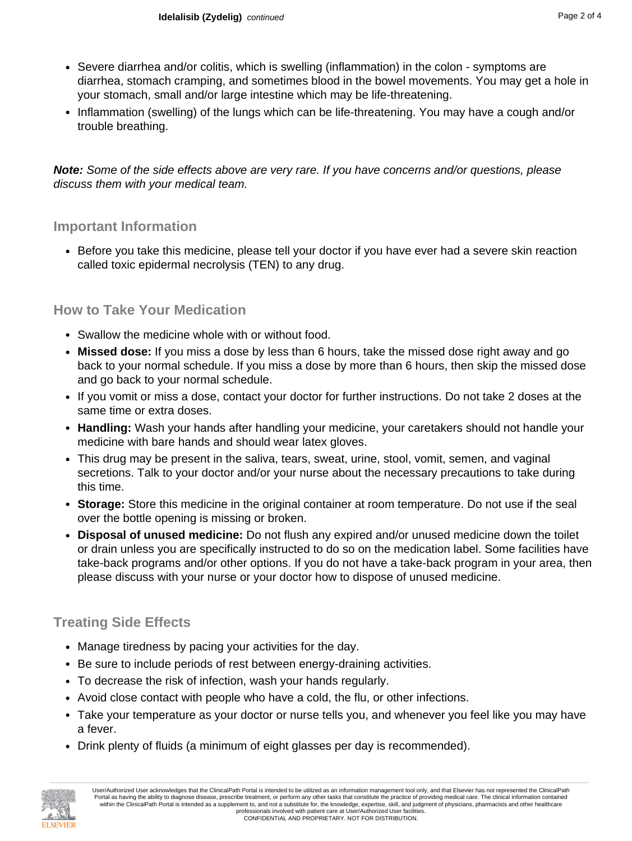- Severe diarrhea and/or colitis, which is swelling (inflammation) in the colon symptoms are diarrhea, stomach cramping, and sometimes blood in the bowel movements. You may get a hole in your stomach, small and/or large intestine which may be life-threatening.
- Inflammation (swelling) of the lungs which can be life-threatening. You may have a cough and/or trouble breathing.

**Note:** Some of the side effects above are very rare. If you have concerns and/or questions, please discuss them with your medical team.

#### **Important Information**

• Before you take this medicine, please tell your doctor if you have ever had a severe skin reaction called toxic epidermal necrolysis (TEN) to any drug.

#### **How to Take Your Medication**

- Swallow the medicine whole with or without food.
- **Missed dose:** If you miss a dose by less than 6 hours, take the missed dose right away and go back to your normal schedule. If you miss a dose by more than 6 hours, then skip the missed dose and go back to your normal schedule.
- If you vomit or miss a dose, contact your doctor for further instructions. Do not take 2 doses at the same time or extra doses.
- **Handling:** Wash your hands after handling your medicine, your caretakers should not handle your medicine with bare hands and should wear latex gloves.
- This drug may be present in the saliva, tears, sweat, urine, stool, vomit, semen, and vaginal secretions. Talk to your doctor and/or your nurse about the necessary precautions to take during this time.
- **Storage:** Store this medicine in the original container at room temperature. Do not use if the seal over the bottle opening is missing or broken.
- **Disposal of unused medicine:** Do not flush any expired and/or unused medicine down the toilet or drain unless you are specifically instructed to do so on the medication label. Some facilities have take-back programs and/or other options. If you do not have a take-back program in your area, then please discuss with your nurse or your doctor how to dispose of unused medicine.

### **Treating Side Effects**

- Manage tiredness by pacing your activities for the day.
- Be sure to include periods of rest between energy-draining activities.
- To decrease the risk of infection, wash your hands regularly.
- Avoid close contact with people who have a cold, the flu, or other infections.
- Take your temperature as your doctor or nurse tells you, and whenever you feel like you may have a fever.
- Drink plenty of fluids (a minimum of eight glasses per day is recommended).

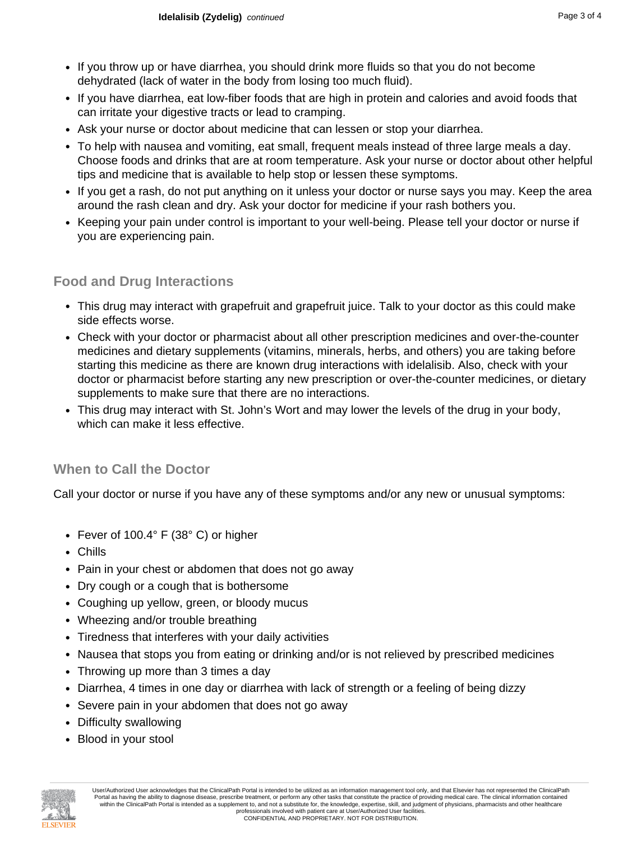- If you throw up or have diarrhea, you should drink more fluids so that you do not become dehydrated (lack of water in the body from losing too much fluid).
- If you have diarrhea, eat low-fiber foods that are high in protein and calories and avoid foods that can irritate your digestive tracts or lead to cramping.
- Ask your nurse or doctor about medicine that can lessen or stop your diarrhea.
- To help with nausea and vomiting, eat small, frequent meals instead of three large meals a day. Choose foods and drinks that are at room temperature. Ask your nurse or doctor about other helpful tips and medicine that is available to help stop or lessen these symptoms.
- If you get a rash, do not put anything on it unless your doctor or nurse says you may. Keep the area around the rash clean and dry. Ask your doctor for medicine if your rash bothers you.
- Keeping your pain under control is important to your well-being. Please tell your doctor or nurse if you are experiencing pain.

## **Food and Drug Interactions**

- This drug may interact with grapefruit and grapefruit juice. Talk to your doctor as this could make side effects worse.
- Check with your doctor or pharmacist about all other prescription medicines and over-the-counter medicines and dietary supplements (vitamins, minerals, herbs, and others) you are taking before starting this medicine as there are known drug interactions with idelalisib. Also, check with your doctor or pharmacist before starting any new prescription or over-the-counter medicines, or dietary supplements to make sure that there are no interactions.
- This drug may interact with St. John's Wort and may lower the levels of the drug in your body, which can make it less effective.

# **When to Call the Doctor**

Call your doctor or nurse if you have any of these symptoms and/or any new or unusual symptoms:

- Fever of 100.4° F (38° C) or higher
- Chills
- Pain in your chest or abdomen that does not go away
- Dry cough or a cough that is bothersome
- Coughing up yellow, green, or bloody mucus
- Wheezing and/or trouble breathing
- Tiredness that interferes with your daily activities
- Nausea that stops you from eating or drinking and/or is not relieved by prescribed medicines
- Throwing up more than 3 times a day
- Diarrhea, 4 times in one day or diarrhea with lack of strength or a feeling of being dizzy
- Severe pain in your abdomen that does not go away
- Difficulty swallowing
- Blood in your stool